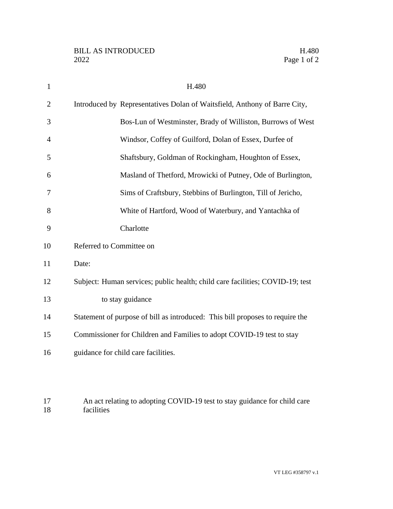| $\mathbf{1}$   | H.480                                                                         |
|----------------|-------------------------------------------------------------------------------|
| $\overline{2}$ | Introduced by Representatives Dolan of Waitsfield, Anthony of Barre City,     |
| 3              | Bos-Lun of Westminster, Brady of Williston, Burrows of West                   |
| $\overline{4}$ | Windsor, Coffey of Guilford, Dolan of Essex, Durfee of                        |
| 5              | Shaftsbury, Goldman of Rockingham, Houghton of Essex,                         |
| 6              | Masland of Thetford, Mrowicki of Putney, Ode of Burlington,                   |
| 7              | Sims of Craftsbury, Stebbins of Burlington, Till of Jericho,                  |
| 8              | White of Hartford, Wood of Waterbury, and Yantachka of                        |
| 9              | Charlotte                                                                     |
| 10             | Referred to Committee on                                                      |
| 11             | Date:                                                                         |
| 12             | Subject: Human services; public health; child care facilities; COVID-19; test |
| 13             | to stay guidance                                                              |
| 14             | Statement of purpose of bill as introduced: This bill proposes to require the |
| 15             | Commissioner for Children and Families to adopt COVID-19 test to stay         |
| 16             | guidance for child care facilities.                                           |
|                |                                                                               |

17 An act relating to adopting COVID-19 test to stay guidance for child care facilities